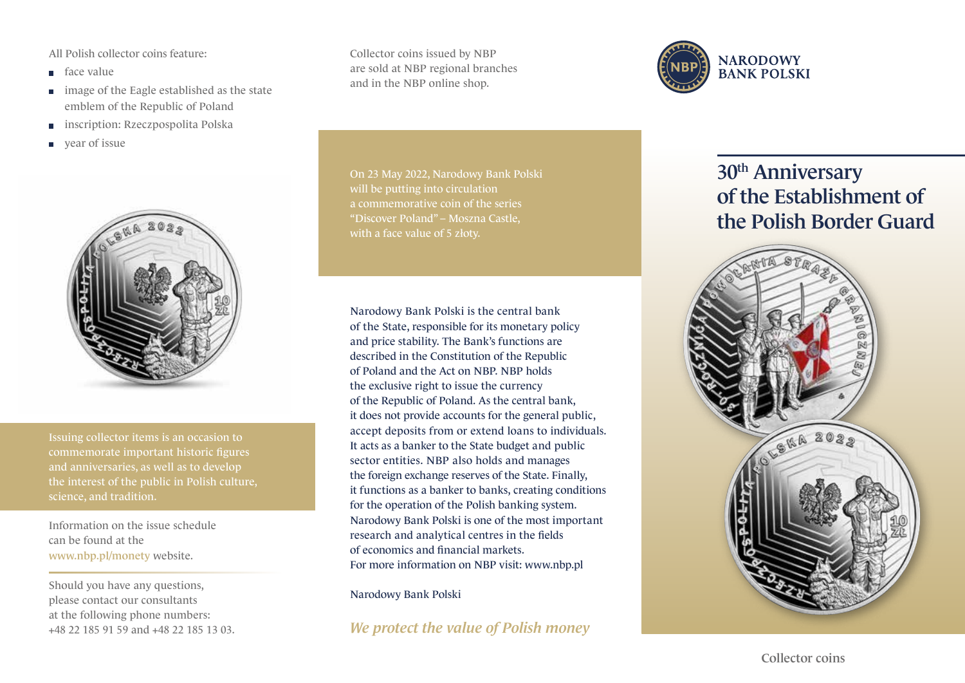All Polish collector coins feature:

- face value
- **image of the Eagle established as the state** emblem of the Republic of Poland
- inscription: Rzeczpospolita Polska  $\Box$
- year of issue



Issuing collector items is an occasion to commemorate important historic figures and anniversaries, as well as to develop science, and tradition.

Information on the issue schedule can be found at the www.nbp.pl/monety website.

Should you have any questions, please contact our consultants at the following phone numbers: +48 22 185 91 59 and +48 22 185 13 03. Collector coins issued by NBP are sold at NBP regional branches and in the NBP online shop.

On 23 May 2022, Narodowy Bank Polski will be putting into circulation a commemorative coin of the series "Discover Poland" – Moszna Castle, with a face value of 5 złoty.

Narodowy Bank Polski is the central bank of the State, responsible for its monetary policy and price stability. The Bank's functions are described in the Constitution of the Republic of Poland and the Act on NBP. NBP holds the exclusive right to issue the currency of the Republic of Poland. As the central bank, it does not provide accounts for the general public, accept deposits from or extend loans to individuals. It acts as a banker to the State budget and public sector entities. NBP also holds and manages the foreign exchange reserves of the State. Finally, it functions as a banker to banks, creating conditions for the operation of the Polish banking system. Narodowy Bank Polski is one of the most important research and analytical centres in the fields of economics and financial markets. For more information on NBP visit: www.nbp.pl

Narodowy Bank Polski

*We protect the value of Polish money*



## 30<sup>th</sup> Anniversary of the Establishment of the Polish Border Guard